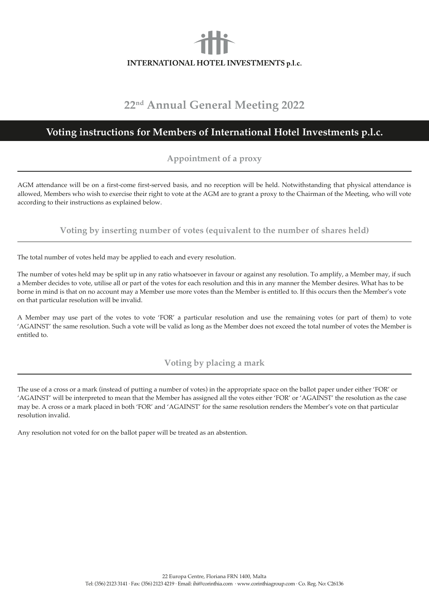# INTERNATIONAL HOTEL INVESTMENTS p.l.c.

## **22nd Annual General Meeting 2022**

## **Voting instructions for Members of International Hotel Investments p.l.c.**

### **Appointment of a proxy**

AGM attendance will be on a first-come first-served basis, and no reception will be held. Notwithstanding that physical attendance is allowed, Members who wish to exercise their right to vote at the AGM are to grant a proxy to the Chairman of the Meeting, who will vote according to their instructions as explained below.

**Voting by inserting number of votes (equivalent to the number of shares held)**

The total number of votes held may be applied to each and every resolution.

The number of votes held may be split up in any ratio whatsoever in favour or against any resolution. To amplify, a Member may, if such a Member decides to vote, utilise all or part of the votes for each resolution and this in any manner the Member desires. What has to be borne in mind is that on no account may a Member use more votes than the Member is entitled to. If this occurs then the Member's vote on that particular resolution will be invalid.

A Member may use part of the votes to vote 'FOR' a particular resolution and use the remaining votes (or part of them) to vote 'AGAINST' the same resolution. Such a vote will be valid as long as the Member does not exceed the total number of votes the Member is entitled to.

**Voting by placing a mark**

The use of a cross or a mark (instead of putting a number of votes) in the appropriate space on the ballot paper under either 'FOR' or 'AGAINST' will be interpreted to mean that the Member has assigned all the votes either 'FOR' or 'AGAINST' the resolution as the case may be. A cross or a mark placed in both 'FOR' and 'AGAINST' for the same resolution renders the Member's vote on that particular resolution invalid.

Any resolution not voted for on the ballot paper will be treated as an abstention.